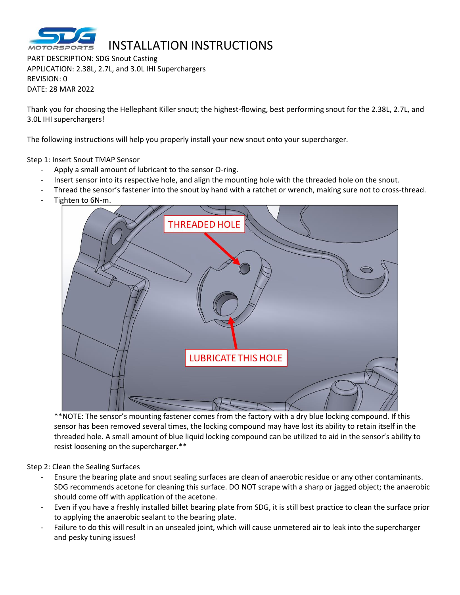

## INSTALLATION INSTRUCTIONS

PART DESCRIPTION: SDG Snout Casting APPLICATION: 2.38L, 2.7L, and 3.0L IHI Superchargers REVISION: 0 DATE: 28 MAR 2022

Thank you for choosing the Hellephant Killer snout; the highest-flowing, best performing snout for the 2.38L, 2.7L, and 3.0L IHI superchargers!

The following instructions will help you properly install your new snout onto your supercharger.

Step 1: Insert Snout TMAP Sensor

- Apply a small amount of lubricant to the sensor O-ring.
- Insert sensor into its respective hole, and align the mounting hole with the threaded hole on the snout.
- Thread the sensor's fastener into the snout by hand with a ratchet or wrench, making sure not to cross-thread.
- Tighten to 6N-m.



\*\*NOTE: The sensor's mounting fastener comes from the factory with a dry blue locking compound. If this sensor has been removed several times, the locking compound may have lost its ability to retain itself in the threaded hole. A small amount of blue liquid locking compound can be utilized to aid in the sensor's ability to resist loosening on the supercharger.\*\*

## Step 2: Clean the Sealing Surfaces

- Ensure the bearing plate and snout sealing surfaces are clean of anaerobic residue or any other contaminants. SDG recommends acetone for cleaning this surface. DO NOT scrape with a sharp or jagged object; the anaerobic should come off with application of the acetone.
- Even if you have a freshly installed billet bearing plate from SDG, it is still best practice to clean the surface prior to applying the anaerobic sealant to the bearing plate.
- Failure to do this will result in an unsealed joint, which will cause unmetered air to leak into the supercharger and pesky tuning issues!